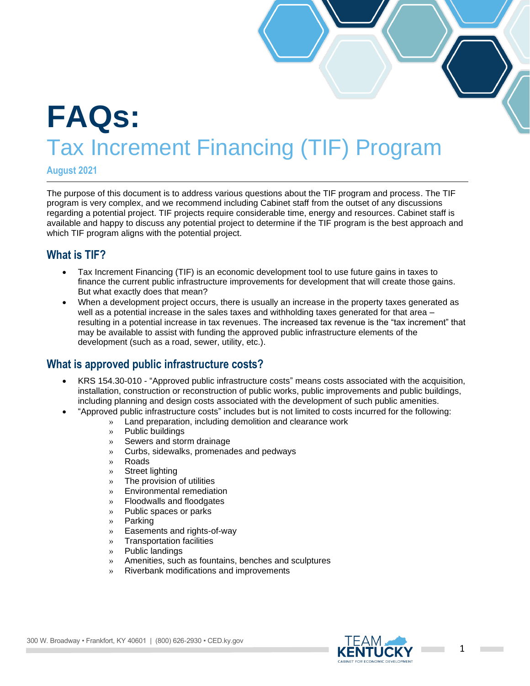# **FAQs:** Tax Increment Financing (TIF) Program

**August 2021**

The purpose of this document is to address various questions about the TIF program and process. The TIF program is very complex, and we recommend including Cabinet staff from the outset of any discussions regarding a potential project. TIF projects require considerable time, energy and resources. Cabinet staff is available and happy to discuss any potential project to determine if the TIF program is the best approach and which TIF program aligns with the potential project.

# **What is TIF?**

- Tax Increment Financing (TIF) is an economic development tool to use future gains in taxes to finance the current public infrastructure improvements for development that will create those gains. But what exactly does that mean?
- When a development project occurs, there is usually an increase in the property taxes generated as well as a potential increase in the sales taxes and withholding taxes generated for that area resulting in a potential increase in tax revenues. The increased tax revenue is the "tax increment" that may be available to assist with funding the approved public infrastructure elements of the development (such as a road, sewer, utility, etc.).

## **What is approved public infrastructure costs?**

- KRS 154.30-010 "Approved public infrastructure costs" means costs associated with the acquisition, installation, construction or reconstruction of public works, public improvements and public buildings, including planning and design costs associated with the development of such public amenities.
- "Approved public infrastructure costs" includes but is not limited to costs incurred for the following:
	- » Land preparation, including demolition and clearance work
		- » Public buildings
		- » Sewers and storm drainage
		- » Curbs, sidewalks, promenades and pedways
		- » Roads
		- » Street lighting
		- » The provision of utilities
		- » Environmental remediation
		- » Floodwalls and floodgates
		- » Public spaces or parks
		- » Parking
		- » Easements and rights-of-way
		- » Transportation facilities
		- » Public landings
		- » Amenities, such as fountains, benches and sculptures
		- » Riverbank modifications and improvements



**College**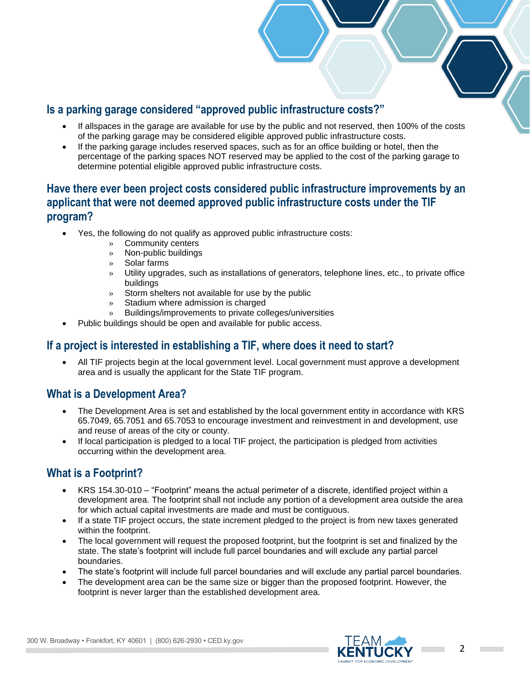# **Is a parking garage considered "approved public infrastructure costs?"**

- If allspaces in the garage are available for use by the public and not reserved, then 100% of the costs of the parking garage may be considered eligible approved public infrastructure costs.
- If the parking garage includes reserved spaces, such as for an office building or hotel, then the percentage of the parking spaces NOT reserved may be applied to the cost of the parking garage to determine potential eligible approved public infrastructure costs.

# **Have there ever been project costs considered public infrastructure improvements by an applicant that were not deemed approved public infrastructure costs under the TIF program?**

- Yes, the following do not qualify as approved public infrastructure costs:
	- » Community centers
	- » Non-public buildings
	- » Solar farms
	- » Utility upgrades, such as installations of generators, telephone lines, etc., to private office buildings
	- » Storm shelters not available for use by the public
	- » Stadium where admission is charged
	- » Buildings/improvements to private colleges/universities
	- Public buildings should be open and available for public access.

## **If a project is interested in establishing a TIF, where does it need to start?**

• All TIF projects begin at the local government level. Local government must approve a development area and is usually the applicant for the State TIF program.

## **What is a Development Area?**

- The Development Area is set and established by the local government entity in accordance with KRS 65.7049, 65.7051 and 65.7053 to encourage investment and reinvestment in and development, use and reuse of areas of the city or county.
- If local participation is pledged to a local TIF project, the participation is pledged from activities occurring within the development area.

# **What is a Footprint?**

- KRS 154.30-010 "Footprint" means the actual perimeter of a discrete, identified project within a development area. The footprint shall not include any portion of a development area outside the area for which actual capital investments are made and must be contiguous.
- If a state TIF project occurs, the state increment pledged to the project is from new taxes generated within the footprint.
- The local government will request the proposed footprint, but the footprint is set and finalized by the state. The state's footprint will include full parcel boundaries and will exclude any partial parcel boundaries.
- The state's footprint will include full parcel boundaries and will exclude any partial parcel boundaries.
- The development area can be the same size or bigger than the proposed footprint. However, the footprint is never larger than the established development area.



**College**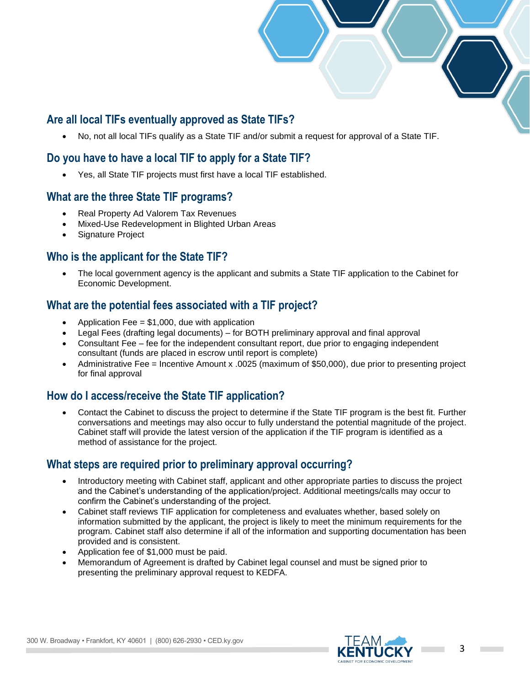# **Are all local TIFs eventually approved as State TIFs?**

• No, not all local TIFs qualify as a State TIF and/or submit a request for approval of a State TIF.

# **Do you have to have a local TIF to apply for a State TIF?**

• Yes, all State TIF projects must first have a local TIF established.

## **What are the three State TIF programs?**

- Real Property Ad Valorem Tax Revenues
- Mixed-Use Redevelopment in Blighted Urban Areas
- Signature Project

## **Who is the applicant for the State TIF?**

• The local government agency is the applicant and submits a State TIF application to the Cabinet for Economic Development.

## **What are the potential fees associated with a TIF project?**

- Application Fee  $= $1,000$ , due with application
- Legal Fees (drafting legal documents) for BOTH preliminary approval and final approval
- Consultant Fee fee for the independent consultant report, due prior to engaging independent consultant (funds are placed in escrow until report is complete)
- Administrative Fee = Incentive Amount x .0025 (maximum of \$50,000), due prior to presenting project for final approval

## **How do I access/receive the State TIF application?**

• Contact the Cabinet to discuss the project to determine if the State TIF program is the best fit. Further conversations and meetings may also occur to fully understand the potential magnitude of the project. Cabinet staff will provide the latest version of the application if the TIF program is identified as a method of assistance for the project.

## **What steps are required prior to preliminary approval occurring?**

- Introductory meeting with Cabinet staff, applicant and other appropriate parties to discuss the project and the Cabinet's understanding of the application/project. Additional meetings/calls may occur to confirm the Cabinet's understanding of the project.
- Cabinet staff reviews TIF application for completeness and evaluates whether, based solely on information submitted by the applicant, the project is likely to meet the minimum requirements for the program. Cabinet staff also determine if all of the information and supporting documentation has been provided and is consistent.
- Application fee of \$1,000 must be paid.
- Memorandum of Agreement is drafted by Cabinet legal counsel and must be signed prior to presenting the preliminary approval request to KEDFA.

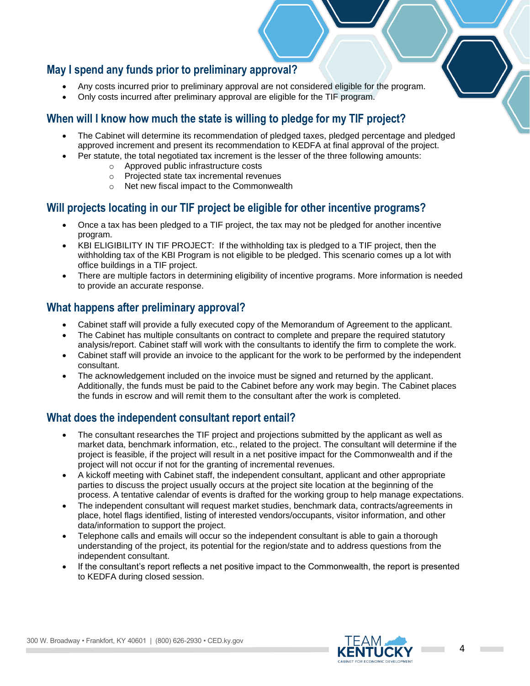## **May I spend any funds prior to preliminary approval?**

- Any costs incurred prior to preliminary approval are not considered eligible for the program.
- Only costs incurred after preliminary approval are eligible for the TIF program.

# **When will I know how much the state is willing to pledge for my TIF project?**

- The Cabinet will determine its recommendation of pledged taxes, pledged percentage and pledged approved increment and present its recommendation to KEDFA at final approval of the project.
- Per statute, the total negotiated tax increment is the lesser of the three following amounts:
	- o Approved public infrastructure costs
	- o Projected state tax incremental revenues
	- o Net new fiscal impact to the Commonwealth

# **Will projects locating in our TIF project be eligible for other incentive programs?**

- Once a tax has been pledged to a TIF project, the tax may not be pledged for another incentive program.
- KBI ELIGIBILITY IN TIF PROJECT: If the withholding tax is pledged to a TIF project, then the withholding tax of the KBI Program is not eligible to be pledged. This scenario comes up a lot with office buildings in a TIF project.
- There are multiple factors in determining eligibility of incentive programs. More information is needed to provide an accurate response.

#### **What happens after preliminary approval?**

- Cabinet staff will provide a fully executed copy of the Memorandum of Agreement to the applicant.
- The Cabinet has multiple consultants on contract to complete and prepare the required statutory analysis/report. Cabinet staff will work with the consultants to identify the firm to complete the work.
- Cabinet staff will provide an invoice to the applicant for the work to be performed by the independent consultant.
- The acknowledgement included on the invoice must be signed and returned by the applicant. Additionally, the funds must be paid to the Cabinet before any work may begin. The Cabinet places the funds in escrow and will remit them to the consultant after the work is completed.

## **What does the independent consultant report entail?**

- The consultant researches the TIF project and projections submitted by the applicant as well as market data, benchmark information, etc., related to the project. The consultant will determine if the project is feasible, if the project will result in a net positive impact for the Commonwealth and if the project will not occur if not for the granting of incremental revenues.
- A kickoff meeting with Cabinet staff, the independent consultant, applicant and other appropriate parties to discuss the project usually occurs at the project site location at the beginning of the process. A tentative calendar of events is drafted for the working group to help manage expectations.
- The independent consultant will request market studies, benchmark data, contracts/agreements in place, hotel flags identified, listing of interested vendors/occupants, visitor information, and other data/information to support the project.
- Telephone calls and emails will occur so the independent consultant is able to gain a thorough understanding of the project, its potential for the region/state and to address questions from the independent consultant.
- If the consultant's report reflects a net positive impact to the Commonwealth, the report is presented to KEDFA during closed session.

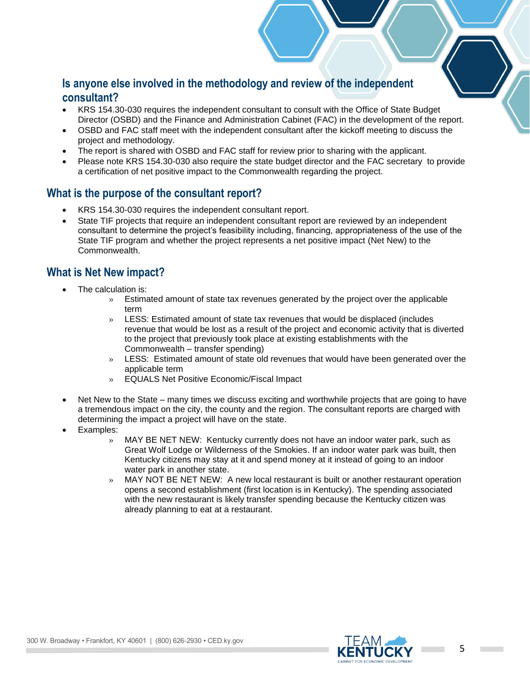#### **Is anyone else involved in the methodology and review of the independent consultant?**

- KRS 154.30-030 requires the independent consultant to consult with the Office of State Budget Director (OSBD) and the Finance and Administration Cabinet (FAC) in the development of the report.
- OSBD and FAC staff meet with the independent consultant after the kickoff meeting to discuss the project and methodology.
- The report is shared with OSBD and FAC staff for review prior to sharing with the applicant.
- Please note KRS 154.30-030 also require the state budget director and the FAC secretary to provide a certification of net positive impact to the Commonwealth regarding the project.

#### **What is the purpose of the consultant report?**

- KRS 154.30-030 requires the independent consultant report.
- State TIF projects that require an independent consultant report are reviewed by an independent consultant to determine the project's feasibility including, financing, appropriateness of the use of the State TIF program and whether the project represents a net positive impact (Net New) to the Commonwealth.

#### **What is Net New impact?**

- The calculation is:
	- » Estimated amount of state tax revenues generated by the project over the applicable term
	- » LESS: Estimated amount of state tax revenues that would be displaced (includes revenue that would be lost as a result of the project and economic activity that is diverted to the project that previously took place at existing establishments with the Commonwealth – transfer spending)
	- » LESS: Estimated amount of state old revenues that would have been generated over the applicable term
	- » EQUALS Net Positive Economic/Fiscal Impact
- Net New to the State many times we discuss exciting and worthwhile projects that are going to have a tremendous impact on the city, the county and the region. The consultant reports are charged with determining the impact a project will have on the state.
- Examples:
	- » MAY BE NET NEW: Kentucky currently does not have an indoor water park, such as Great Wolf Lodge or Wilderness of the Smokies. If an indoor water park was built, then Kentucky citizens may stay at it and spend money at it instead of going to an indoor water park in another state.
	- » MAY NOT BE NET NEW: A new local restaurant is built or another restaurant operation opens a second establishment (first location is in Kentucky). The spending associated with the new restaurant is likely transfer spending because the Kentucky citizen was already planning to eat at a restaurant.

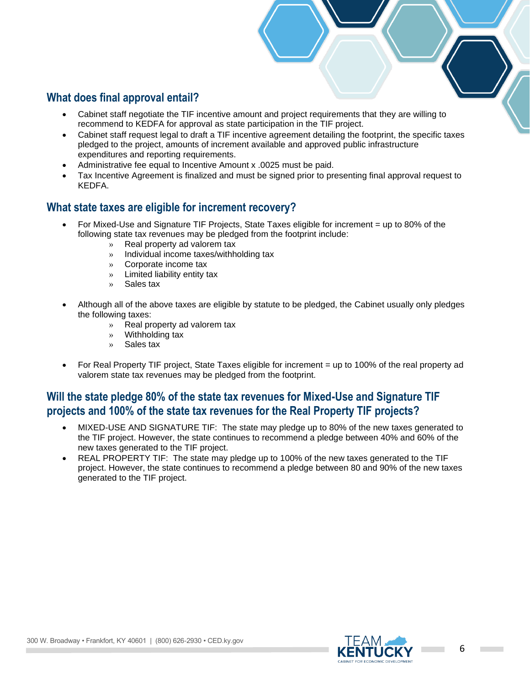# **What does final approval entail?**

- Cabinet staff negotiate the TIF incentive amount and project requirements that they are willing to recommend to KEDFA for approval as state participation in the TIF project.
- Cabinet staff request legal to draft a TIF incentive agreement detailing the footprint, the specific taxes pledged to the project, amounts of increment available and approved public infrastructure expenditures and reporting requirements.
- Administrative fee equal to Incentive Amount x .0025 must be paid.
- Tax Incentive Agreement is finalized and must be signed prior to presenting final approval request to KEDFA.

#### **What state taxes are eligible for increment recovery?**

- For Mixed-Use and Signature TIF Projects, State Taxes eligible for increment = up to 80% of the following state tax revenues may be pledged from the footprint include:
	- » Real property ad valorem tax
	- » Individual income taxes/withholding tax
	- » Corporate income tax
	- » Limited liability entity tax
	- » Sales tax
- Although all of the above taxes are eligible by statute to be pledged, the Cabinet usually only pledges the following taxes:
	- » Real property ad valorem tax
	- » Withholding tax
	- » Sales tax
- For Real Property TIF project, State Taxes eligible for increment = up to 100% of the real property ad valorem state tax revenues may be pledged from the footprint.

# **Will the state pledge 80% of the state tax revenues for Mixed-Use and Signature TIF projects and 100% of the state tax revenues for the Real Property TIF projects?**

- MIXED-USE AND SIGNATURE TIF: The state may pledge up to 80% of the new taxes generated to the TIF project. However, the state continues to recommend a pledge between 40% and 60% of the new taxes generated to the TIF project.
- REAL PROPERTY TIF: The state may pledge up to 100% of the new taxes generated to the TIF project. However, the state continues to recommend a pledge between 80 and 90% of the new taxes generated to the TIF project.

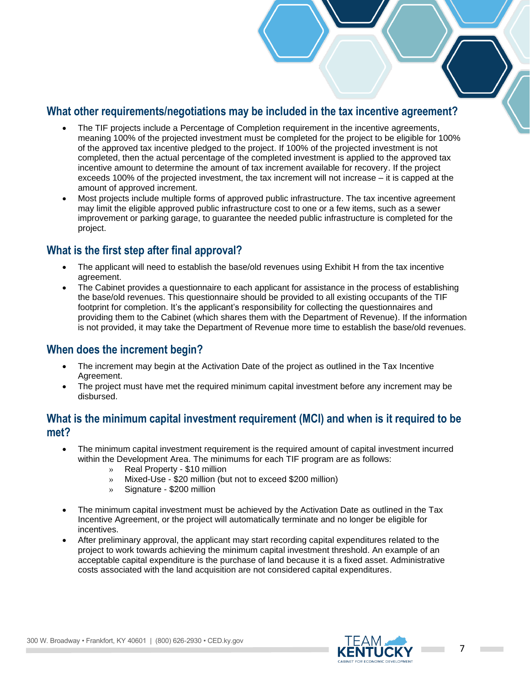#### **What other requirements/negotiations may be included in the tax incentive agreement?**

- The TIF projects include a Percentage of Completion requirement in the incentive agreements, meaning 100% of the projected investment must be completed for the project to be eligible for 100% of the approved tax incentive pledged to the project. If 100% of the projected investment is not completed, then the actual percentage of the completed investment is applied to the approved tax incentive amount to determine the amount of tax increment available for recovery. If the project exceeds 100% of the projected investment, the tax increment will not increase – it is capped at the amount of approved increment.
- Most projects include multiple forms of approved public infrastructure. The tax incentive agreement may limit the eligible approved public infrastructure cost to one or a few items, such as a sewer improvement or parking garage, to guarantee the needed public infrastructure is completed for the project.

## **What is the first step after final approval?**

- The applicant will need to establish the base/old revenues using Exhibit H from the tax incentive agreement.
- The Cabinet provides a questionnaire to each applicant for assistance in the process of establishing the base/old revenues. This questionnaire should be provided to all existing occupants of the TIF footprint for completion. It's the applicant's responsibility for collecting the questionnaires and providing them to the Cabinet (which shares them with the Department of Revenue). If the information is not provided, it may take the Department of Revenue more time to establish the base/old revenues.

#### **When does the increment begin?**

- The increment may begin at the Activation Date of the project as outlined in the Tax Incentive Agreement.
- The project must have met the required minimum capital investment before any increment may be disbursed.

#### **What is the minimum capital investment requirement (MCI) and when is it required to be met?**

- The minimum capital investment requirement is the required amount of capital investment incurred within the Development Area. The minimums for each TIF program are as follows:
	- » Real Property \$10 million
	- » Mixed-Use \$20 million (but not to exceed \$200 million)
	- » Signature \$200 million
- The minimum capital investment must be achieved by the Activation Date as outlined in the Tax Incentive Agreement, or the project will automatically terminate and no longer be eligible for incentives.
- After preliminary approval, the applicant may start recording capital expenditures related to the project to work towards achieving the minimum capital investment threshold. An example of an acceptable capital expenditure is the purchase of land because it is a fixed asset. Administrative costs associated with the land acquisition are not considered capital expenditures.



**College**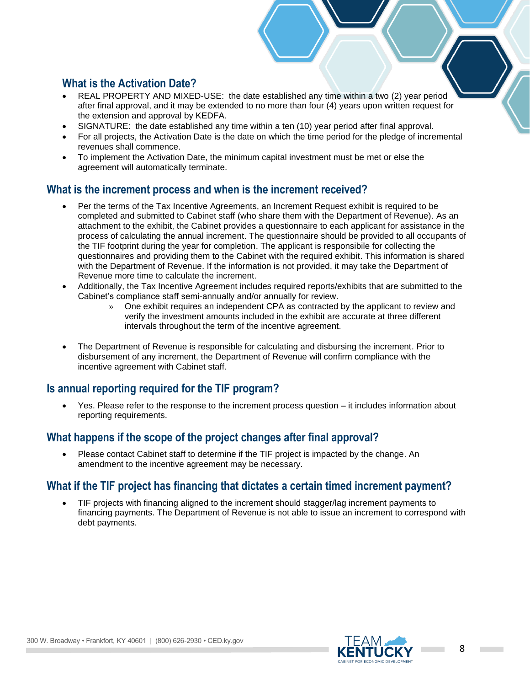#### **What is the Activation Date?**

- REAL PROPERTY AND MIXED-USE: the date established any time within a two (2) year period after final approval, and it may be extended to no more than four (4) years upon written request for the extension and approval by KEDFA.
- SIGNATURE: the date established any time within a ten (10) year period after final approval.
- For all projects, the Activation Date is the date on which the time period for the pledge of incremental revenues shall commence.
- To implement the Activation Date, the minimum capital investment must be met or else the agreement will automatically terminate.

#### **What is the increment process and when is the increment received?**

- Per the terms of the Tax Incentive Agreements, an Increment Request exhibit is required to be completed and submitted to Cabinet staff (who share them with the Department of Revenue). As an attachment to the exhibit, the Cabinet provides a questionnaire to each applicant for assistance in the process of calculating the annual increment. The questionnaire should be provided to all occupants of the TIF footprint during the year for completion. The applicant is responsibile for collecting the questionnaires and providing them to the Cabinet with the required exhibit. This information is shared with the Department of Revenue. If the information is not provided, it may take the Department of Revenue more time to calculate the increment.
- Additionally, the Tax Incentive Agreement includes required reports/exhibits that are submitted to the Cabinet's compliance staff semi-annually and/or annually for review.
	- » One exhibit requires an independent CPA as contracted by the applicant to review and verify the investment amounts included in the exhibit are accurate at three different intervals throughout the term of the incentive agreement.
- The Department of Revenue is responsible for calculating and disbursing the increment. Prior to disbursement of any increment, the Department of Revenue will confirm compliance with the incentive agreement with Cabinet staff.

# **Is annual reporting required for the TIF program?**

• Yes. Please refer to the response to the increment process question – it includes information about reporting requirements.

## **What happens if the scope of the project changes after final approval?**

• Please contact Cabinet staff to determine if the TIF project is impacted by the change. An amendment to the incentive agreement may be necessary.

## **What if the TIF project has financing that dictates a certain timed increment payment?**

• TIF projects with financing aligned to the increment should stagger/lag increment payments to financing payments. The Department of Revenue is not able to issue an increment to correspond with debt payments.